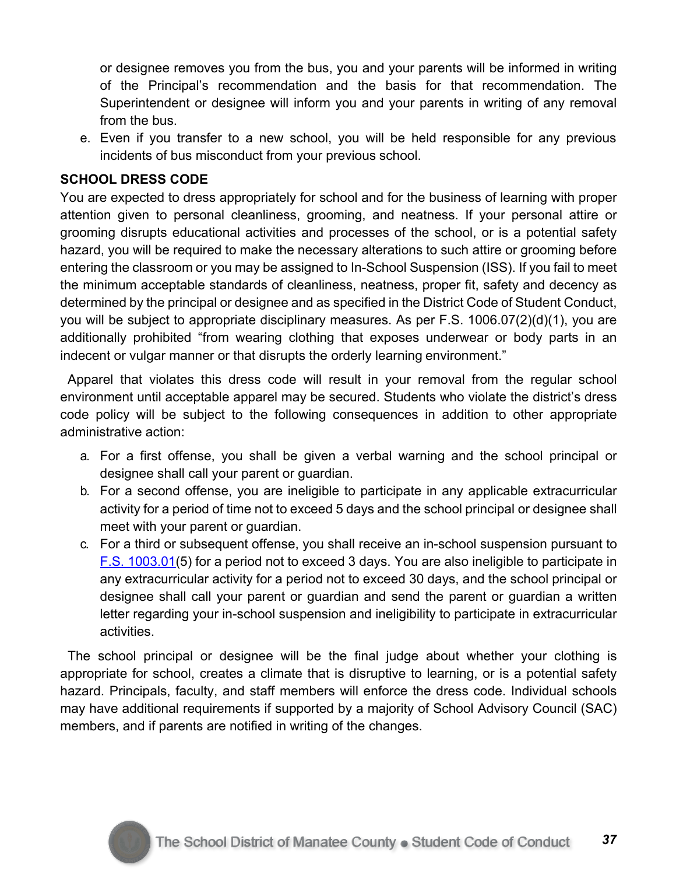or designee removes you from the bus, you and your parents will be informed in writing of the Principal's recommendation and the basis for that recommendation. The Superintendent or designee will inform you and your parents in writing of any removal from the bus.

e. Even if you transfer to a new school, you will be held responsible for any previous incidents of bus misconduct from your previous school.

## **SCHOOL DRESS CODE**

You are expected to dress appropriately for school and for the business of learning with proper attention given to personal cleanliness, grooming, and neatness. If your personal attire or grooming disrupts educational activities and processes of the school, or is a potential safety hazard, you will be required to make the necessary alterations to such attire or grooming before entering the classroom or you may be assigned to In-School Suspension (ISS). If you fail to meet the minimum acceptable standards of cleanliness, neatness, proper fit, safety and decency as determined by the principal or designee and as specified in the District Code of Student Conduct, you will be subject to appropriate disciplinary measures. As per F.S. 1006.07(2)(d)(1), you are additionally prohibited "from wearing clothing that exposes underwear or body parts in an indecent or vulgar manner or that disrupts the orderly learning environment."

Apparel that violates this dress code will result in your removal from the regular school environment until acceptable apparel may be secured. Students who violate the district's dress code policy will be subject to the following consequences in addition to other appropriate administrative action:

- a. For a first offense, you shall be given a verbal warning and the school principal or designee shall call your parent or guardian.
- b. For a second offense, you are ineligible to participate in any applicable extracurricular activity for a period of time not to exceed 5 days and the school principal or designee shall meet with your parent or guardian.
- c. For a third or subsequent offense, you shall receive an in-school suspension pursuant to F.S. 1003.01(5) for a period not to exceed 3 days. You are also ineligible to participate in any extracurricular activity for a period not to exceed 30 days, and the school principal or designee shall call your parent or guardian and send the parent or guardian a written letter regarding your in-school suspension and ineligibility to participate in extracurricular activities.

The school principal or designee will be the final judge about whether your clothing is appropriate for school, creates a climate that is disruptive to learning, or is a potential safety hazard. Principals, faculty, and staff members will enforce the dress code. Individual schools may have additional requirements if supported by a majority of School Advisory Council (SAC) members, and if parents are notified in writing of the changes.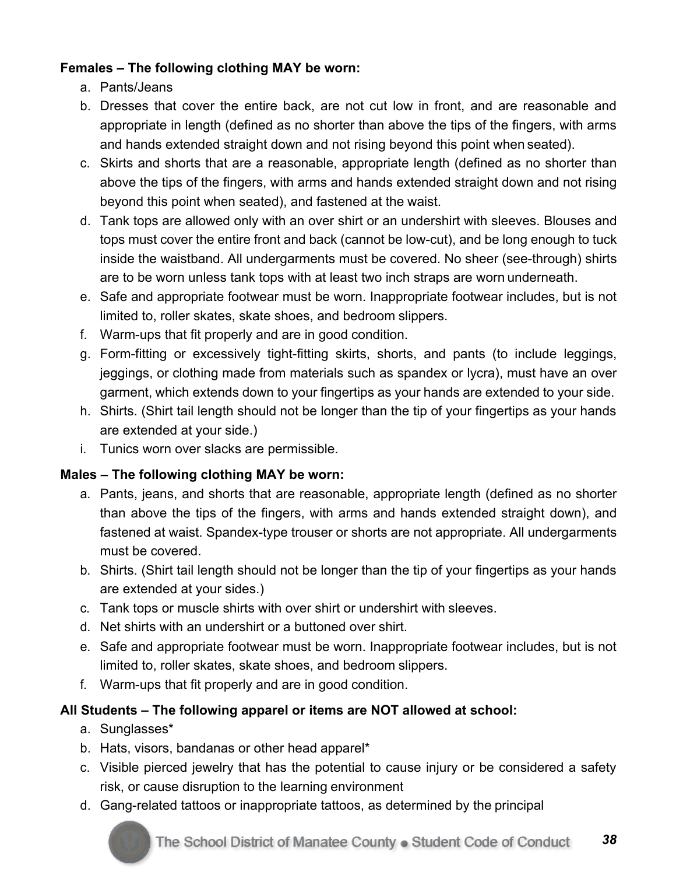## **Females – The following clothing MAY be worn:**

- a. Pants/Jeans
- b. Dresses that cover the entire back, are not cut low in front, and are reasonable and appropriate in length (defined as no shorter than above the tips of the fingers, with arms and hands extended straight down and not rising beyond this point when seated).
- c. Skirts and shorts that are a reasonable, appropriate length (defined as no shorter than above the tips of the fingers, with arms and hands extended straight down and not rising beyond this point when seated), and fastened at the waist.
- d. Tank tops are allowed only with an over shirt or an undershirt with sleeves. Blouses and tops must cover the entire front and back (cannot be low-cut), and be long enough to tuck inside the waistband. All undergarments must be covered. No sheer (see-through) shirts are to be worn unless tank tops with at least two inch straps are worn underneath.
- e. Safe and appropriate footwear must be worn. Inappropriate footwear includes, but is not limited to, roller skates, skate shoes, and bedroom slippers.
- f. Warm-ups that fit properly and are in good condition.
- g. Form-fitting or excessively tight-fitting skirts, shorts, and pants (to include leggings, jeggings, or clothing made from materials such as spandex or lycra), must have an over garment, which extends down to your fingertips as your hands are extended to your side.
- h. Shirts. (Shirt tail length should not be longer than the tip of your fingertips as your hands are extended at your side.)
- i. Tunics worn over slacks are permissible.

## **Males – The following clothing MAY be worn:**

- a. Pants, jeans, and shorts that are reasonable, appropriate length (defined as no shorter than above the tips of the fingers, with arms and hands extended straight down), and fastened at waist. Spandex-type trouser or shorts are not appropriate. All undergarments must be covered.
- b. Shirts. (Shirt tail length should not be longer than the tip of your fingertips as your hands are extended at your sides.)
- c. Tank tops or muscle shirts with over shirt or undershirt with sleeves.
- d. Net shirts with an undershirt or a buttoned over shirt.
- e. Safe and appropriate footwear must be worn. Inappropriate footwear includes, but is not limited to, roller skates, skate shoes, and bedroom slippers.
- f. Warm-ups that fit properly and are in good condition.

## **All Students – The following apparel or items are NOT allowed at school:**

- a. Sunglasses\*
- b. Hats, visors, bandanas or other head apparel\*
- c. Visible pierced jewelry that has the potential to cause injury or be considered a safety risk, or cause disruption to the learning environment
- d. Gang-related tattoos or inappropriate tattoos, as determined by the principal